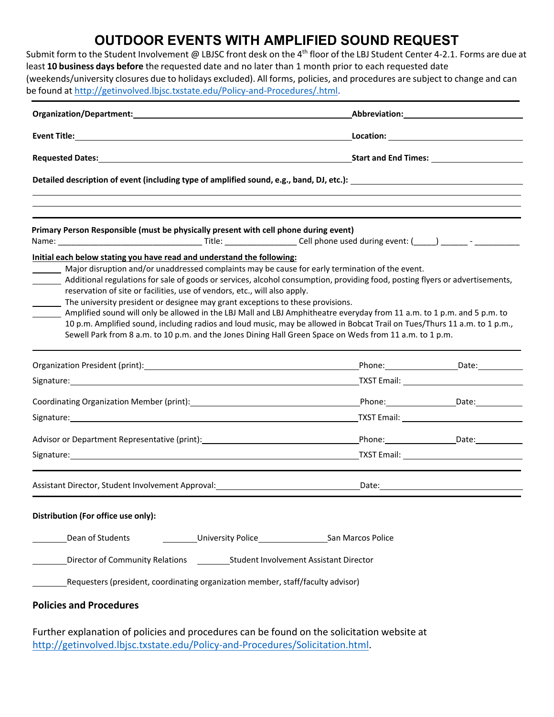| be found at http://getinvolved.lbjsc.txstate.edu/Policy-and-Procedures/.html.        | <b>OUTDOOR EVENTS WITH AMPLIFIED SOUND REQUEST</b><br>Submit form to the Student Involvement @ LBJSC front desk on the 4 <sup>th</sup> floor of the LBJ Student Center 4-2.1. Forms are due at<br>least 10 business days before the requested date and no later than 1 month prior to each requested date<br>(weekends/university closures due to holidays excluded). All forms, policies, and procedures are subject to change and can |
|--------------------------------------------------------------------------------------|-----------------------------------------------------------------------------------------------------------------------------------------------------------------------------------------------------------------------------------------------------------------------------------------------------------------------------------------------------------------------------------------------------------------------------------------|
|                                                                                      |                                                                                                                                                                                                                                                                                                                                                                                                                                         |
|                                                                                      |                                                                                                                                                                                                                                                                                                                                                                                                                                         |
|                                                                                      |                                                                                                                                                                                                                                                                                                                                                                                                                                         |
|                                                                                      |                                                                                                                                                                                                                                                                                                                                                                                                                                         |
| Primary Person Responsible (must be physically present with cell phone during event) |                                                                                                                                                                                                                                                                                                                                                                                                                                         |
|                                                                                      |                                                                                                                                                                                                                                                                                                                                                                                                                                         |
| Initial each below stating you have read and understand the following:               |                                                                                                                                                                                                                                                                                                                                                                                                                                         |
|                                                                                      | Major disruption and/or unaddressed complaints may be cause for early termination of the event.                                                                                                                                                                                                                                                                                                                                         |

- Additional regulations for sale of goods or services, alcohol consumption, providing food, posting flyers or advertisements, reservation of site or facilities, use of vendors, etc., will also apply.
- The university president or designee may grant exceptions to these provisions.
- Amplified sound will only be allowed in the LBJ Mall and LBJ Amphitheatre everyday from 11 a.m. to 1 p.m. and 5 p.m. to 10 p.m. Amplified sound, including radios and loud music, may be allowed in Bobcat Trail on Tues/Thurs 11 a.m. to 1 p.m., Sewell Park from 8 a.m. to 10 p.m. and the Jones Dining Hall Green Space on Weds from 11 a.m. to 1 p.m.

|                                                                                                                                                                                                                                |  | Phone: Date: Date:                                  |  |
|--------------------------------------------------------------------------------------------------------------------------------------------------------------------------------------------------------------------------------|--|-----------------------------------------------------|--|
| Signature: Signature: Signature: Signature: Signature: Signature: Signature: Signature: Signature: Signature: Signature: Signature: Signature: Signature: Signature: Signature: Signature: Signature: Signature: Signature: Si |  |                                                     |  |
|                                                                                                                                                                                                                                |  | Phone: ________________________Date: ______________ |  |
|                                                                                                                                                                                                                                |  |                                                     |  |
| Advisor or Department Representative (print): Material Advisor or Department Representative (print):                                                                                                                           |  | Phone: Date: Date:                                  |  |
|                                                                                                                                                                                                                                |  |                                                     |  |
|                                                                                                                                                                                                                                |  |                                                     |  |
|                                                                                                                                                                                                                                |  |                                                     |  |
|                                                                                                                                                                                                                                |  |                                                     |  |
| Distribution (For office use only):                                                                                                                                                                                            |  |                                                     |  |

| Dean of Students | University Police | San Marcos Police |
|------------------|-------------------|-------------------|
|                  |                   |                   |

Director of Community Relations Student Involvement Assistant Director

Requesters(president, coordinating organization member, staff/faculty advisor)

## **Policies and Procedures**

Further explanation of policies and procedures can be found on the solicitation website at [http://getinvolved.lbjsc.txstate.edu/Policy-and-Procedures/Solicitation.html.](http://getinvolved.lbjsc.txstate.edu/Policy-and-Procedures/Solicitation.html)